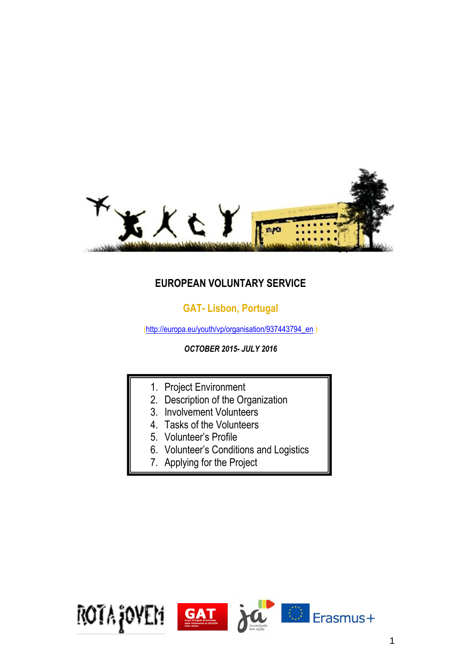

# **EUROPEAN VOLUNTARY SERVICE**

# **GAT- Lisbon, Portugal**

[\(http://europa.eu/youth/vp/organisation/937443794\\_en](http://europa.eu/youth/vp/organisation/937443794_en) )

*OCTOBER 2015- JULY 2016*

- 1. Project Environment
- 2. Description of the Organization
- 3. Involvement Volunteers
- 4. Tasks of the Volunteers
- 5. Volunteer's Profile
- 6. Volunteer's Conditions and Logistics
- 7. Applying for the Project

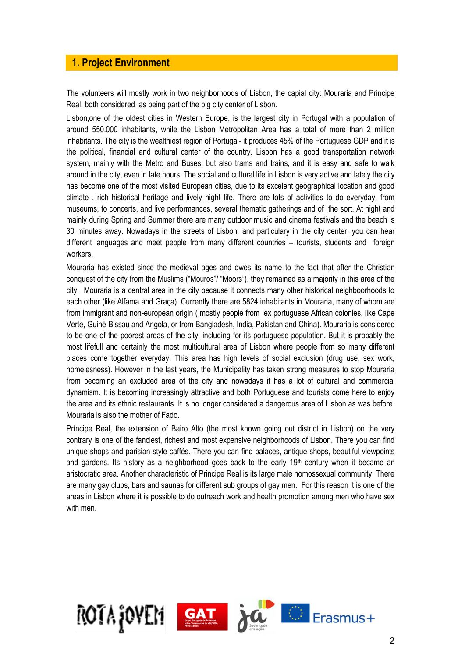## **1. Project Environment**

The volunteers will mostly work in two neighborhoods of Lisbon, the capial city: Mouraria and Principe Real, both considered as being part of the big city center of Lisbon.

Lisbon,one of the oldest cities in Western Europe, is the largest city in Portugal with a population of around 550.000 inhabitants, while the Lisbon Metropolitan Area has a total of more than 2 million inhabitants. The city is the wealthiest region of Portugal- it produces 45% of the Portuguese GDP and it is the political, financial and cultural center of the country. Lisbon has a good transportation network system, mainly with the Metro and Buses, but also trams and trains, and it is easy and safe to walk around in the city, even in late hours. The social and cultural life in Lisbon is very active and lately the city has become one of the most visited European cities, due to its excelent geographical location and good climate , rich historical heritage and lively night life. There are lots of activities to do everyday, from museums, to concerts, and live performances, several thematic gatherings and of the sort. At night and mainly during Spring and Summer there are many outdoor music and cinema festivals and the beach is 30 minutes away. Nowadays in the streets of Lisbon, and particulary in the city center, you can hear different languages and meet people from many different countries – tourists, students and foreign workers.

Mouraria has existed since the medieval ages and owes its name to the fact that after the Christian conquest of the city from the Muslims ("Mouros"/ "Moors"), they remained as a majority in this area of the city. Mouraria is a central area in the city because it connects many other historical neighboorhoods to each other (like Alfama and Graça). Currently there are 5824 inhabitants in Mouraria, many of whom are from immigrant and non-european origin ( mostly people from ex portuguese African colonies, like Cape Verte, Guiné-Bissau and Angola, or from Bangladesh, India, Pakistan and China). Mouraria is considered to be one of the poorest areas of the city, including for its portuguese population. But it is probably the most lifefull and certainly the most multicultural area of Lisbon where people from so many different places come together everyday. This area has high levels of social exclusion (drug use, sex work, homelesness). However in the last years, the Municipality has taken strong measures to stop Mouraria from becoming an excluded area of the city and nowadays it has a lot of cultural and commercial dynamism. It is becoming increasingly attractive and both Portuguese and tourists come here to enjoy the area and its ethnic restaurants. It is no longer considered a dangerous area of Lisbon as was before. Mouraria is also the mother of Fado.

Príncipe Real, the extension of Bairo Alto (the most known going out district in Lisbon) on the very contrary is one of the fanciest, richest and most expensive neighborhoods of Lisbon. There you can find unique shops and parisian-style caffés. There you can find palaces, antique shops, beautiful viewpoints and gardens. Its history as a neighborhood goes back to the early 19<sup>th</sup> century when it became an aristocratic area. Another characteristic of Principe Real is its large male homossexual community. There are many gay clubs, bars and saunas for different sub groups of gay men. For this reason it is one of the areas in Lisbon where it is possible to do outreach work and health promotion among men who have sex with men.

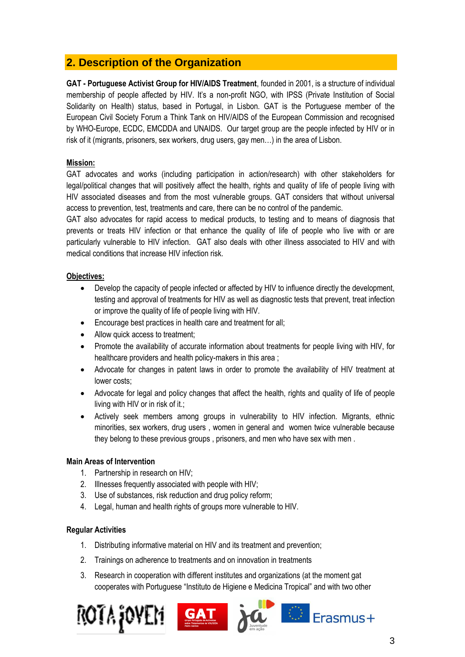# **2. Description of the Organization**

**GAT - Portuguese Activist Group for HIV/AIDS Treatment**, founded in 2001, is a structure of individual membership of people affected by HIV. It's a non-profit NGO, with IPSS (Private Institution of Social Solidarity on Health) status, based in Portugal, in Lisbon. GAT is the Portuguese member of the European Civil Society Forum a Think Tank on HIV/AIDS of the European Commission and recognised by WHO-Europe, ECDC, EMCDDA and UNAIDS. Our target group are the people infected by HIV or in risk of it (migrants, prisoners, sex workers, drug users, gay men…) in the area of Lisbon.

## **Mission:**

GAT advocates and works (including participation in action/research) with other stakeholders for legal/political changes that will positively affect the health, rights and quality of life of people living with HIV associated diseases and from the most vulnerable groups. GAT considers that without universal access to prevention, test, treatments and care, there can be no control of the pandemic.

GAT also advocates for rapid access to medical products, to testing and to means of diagnosis that prevents or treats HIV infection or that enhance the quality of life of people who live with or are particularly vulnerable to HIV infection. GAT also deals with other illness associated to HIV and with medical conditions that increase HIV infection risk.

## **Objectives:**

- Develop the capacity of people infected or affected by HIV to influence directly the development, testing and approval of treatments for HIV as well as diagnostic tests that prevent, treat infection or improve the quality of life of people living with HIV.
- Encourage best practices in health care and treatment for all;
- Allow quick access to treatment;
- Promote the availability of accurate information about treatments for people living with HIV, for healthcare providers and health policy-makers in this area;
- Advocate for changes in patent laws in order to promote the availability of HIV treatment at lower costs;
- Advocate for legal and policy changes that affect the health, rights and quality of life of people living with HIV or in risk of it.;
- Actively seek members among groups in vulnerability to HIV infection. Migrants, ethnic minorities, sex workers, drug users , women in general and women twice vulnerable because they belong to these previous groups , prisoners, and men who have sex with men .

## **Main Areas of Intervention**

- 1. Partnership in research on HIV;
- 2. Illnesses frequently associated with people with HIV;
- 3. Use of substances, risk reduction and drug policy reform;
- 4. Legal, human and health rights of groups more vulnerable to HIV.

## **Regular Activities**

- 1. Distributing informative material on HIV and its treatment and prevention;
- 2. Trainings on adherence to treatments and on innovation in treatments
- 3. Research in cooperation with different institutes and organizations (at the moment gat cooperates with Portuguese "Instituto de Higiene e Medicina Tropical" and with two other

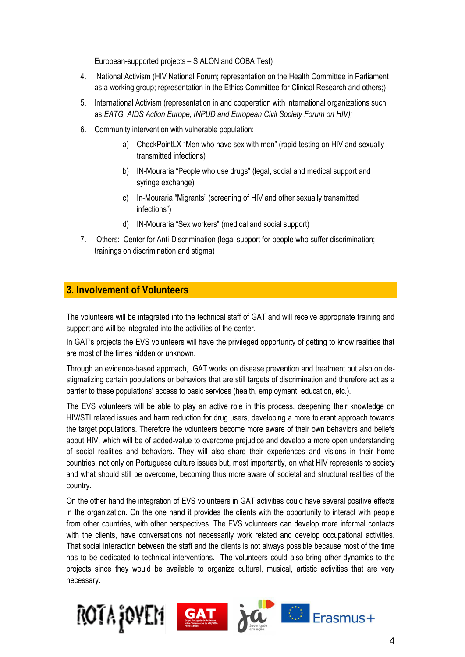European-supported projects – SIALON and COBA Test)

- 4. National Activism (HIV National Forum; representation on the Health Committee in Parliament as a working group; representation in the Ethics Committee for Clinical Research and others;)
- 5. International Activism (representation in and cooperation with international organizations such as *EATG, AIDS Action Europe, INPUD and European Civil Society Forum on HIV);*
- 6. Community intervention with vulnerable population:
	- a) CheckPointLX "Men who have sex with men" (rapid testing on HIV and sexually transmitted infections)
	- b) IN-Mouraria "People who use drugs" (legal, social and medical support and syringe exchange)
	- c) In-Mouraria "Migrants" (screening of HIV and other sexually transmitted infections")
	- d) IN-Mouraria "Sex workers" (medical and social support)
- 7. Others: Center for Anti-Discrimination (legal support for people who suffer discrimination; trainings on discrimination and stigma)

## **3. Involvement of Volunteers**

The volunteers will be integrated into the technical staff of GAT and will receive appropriate training and support and will be integrated into the activities of the center.

In GAT's projects the EVS volunteers will have the privileged opportunity of getting to know realities that are most of the times hidden or unknown.

Through an evidence-based approach, GAT works on disease prevention and treatment but also on destigmatizing certain populations or behaviors that are still targets of discrimination and therefore act as a barrier to these populations' access to basic services (health, employment, education, etc.).

The EVS volunteers will be able to play an active role in this process, deepening their knowledge on HIV/STI related issues and harm reduction for drug users, developing a more tolerant approach towards the target populations. Therefore the volunteers become more aware of their own behaviors and beliefs about HIV, which will be of added-value to overcome prejudice and develop a more open understanding of social realities and behaviors. They will also share their experiences and visions in their home countries, not only on Portuguese culture issues but, most importantly, on what HIV represents to society and what should still be overcome, becoming thus more aware of societal and structural realities of the country.

On the other hand the integration of EVS volunteers in GAT activities could have several positive effects in the organization. On the one hand it provides the clients with the opportunity to interact with people from other countries, with other perspectives. The EVS volunteers can develop more informal contacts with the clients, have conversations not necessarily work related and develop occupational activities. That social interaction between the staff and the clients is not always possible because most of the time has to be dedicated to technical interventions. The volunteers could also bring other dynamics to the projects since they would be available to organize cultural, musical, artistic activities that are very necessary.

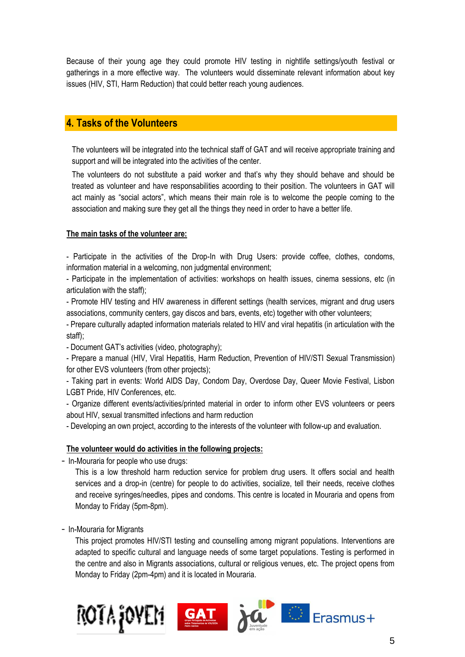Because of their young age they could promote HIV testing in nightlife settings/youth festival or gatherings in a more effective way. The volunteers would disseminate relevant information about key issues (HIV, STI, Harm Reduction) that could better reach young audiences.

## **4. Tasks of the Volunteers**

The volunteers will be integrated into the technical staff of GAT and will receive appropriate training and support and will be integrated into the activities of the center.

The volunteers do not substitute a paid worker and that's why they should behave and should be treated as volunteer and have responsabilities acoording to their position. The volunteers in GAT will act mainly as "social actors", which means their main role is to welcome the people coming to the association and making sure they get all the things they need in order to have a better life.

#### **The main tasks of the volunteer are:**

- Participate in the activities of the Drop-In with Drug Users: provide coffee, clothes, condoms, information material in a welcoming, non judgmental environment;

- Participate in the implementation of activities: workshops on health issues, cinema sessions, etc (in articulation with the staff);

- Promote HIV testing and HIV awareness in different settings (health services, migrant and drug users associations, community centers, gay discos and bars, events, etc) together with other volunteers;

- Prepare culturally adapted information materials related to HIV and viral hepatitis (in articulation with the staff);

- Document GAT's activities (video, photography);

- Prepare a manual (HIV, Viral Hepatitis, Harm Reduction, Prevention of HIV/STI Sexual Transmission) for other EVS volunteers (from other projects);

- Taking part in events: World AIDS Day, Condom Day, Overdose Day, Queer Movie Festival, Lisbon LGBT Pride, HIV Conferences, etc.

- Organize different events/activities/printed material in order to inform other EVS volunteers or peers about HIV, sexual transmitted infections and harm reduction

- Developing an own project, according to the interests of the volunteer with follow-up and evaluation.

#### **The volunteer would do activities in the following projects:**

- In-Mouraria for people who use drugs:

This is a low threshold harm reduction service for problem drug users. It offers social and health services and a drop-in (centre) for people to do activities, socialize, tell their needs, receive clothes and receive syringes/needles, pipes and condoms. This centre is located in Mouraria and opens from Monday to Friday (5pm-8pm).

- In-Mouraria for Migrants

This project promotes HIV/STI testing and counselling among migrant populations. Interventions are adapted to specific cultural and language needs of some target populations. Testing is performed in the centre and also in Migrants associations, cultural or religious venues, etc. The project opens from Monday to Friday (2pm-4pm) and it is located in Mouraria.

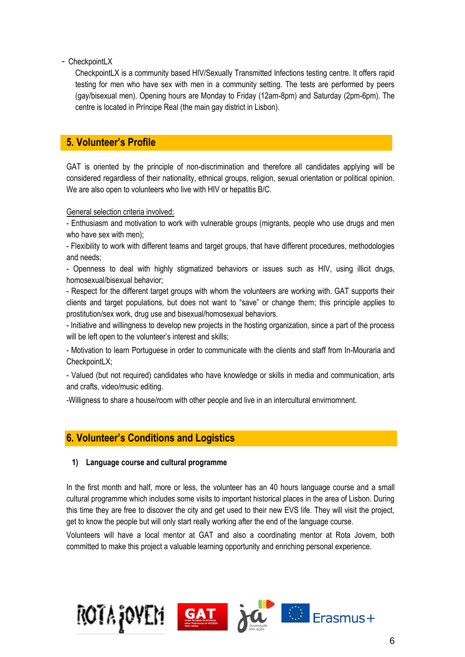- CheckpointLX

CheckpointLX is a community based HIV/Sexually Transmitted Infections testing centre. It offers rapid testing for men who have sex with men in a community setting. The tests are performed by peers (gay/bisexual men). Opening hours are Monday to Friday (12am-8pm) and Saturday (2pm-6pm). The centre is located in Príncipe Real (the main gay district in Lisbon).

## **5. Volunteer's Profile**

GAT is oriented by the principle of non-discrimination and therefore all candidates applying will be considered regardless of their nationality, ethnical groups, religion, sexual orientation or political opinion. We are also open to volunteers who live with HIV or hepatitis B/C.

#### General selection criteria involved:

- Enthusiasm and motivation to work with vulnerable groups (migrants, people who use drugs and men who have sex with men);

- Flexibility to work with different teams and target groups, that have different procedures, methodologies and needs;

- Openness to deal with highly stigmatized behaviors or issues such as HIV, using illicit drugs, homosexual/bisexual behavior;

- Respect for the different target groups with whom the volunteers are working with. GAT supports their clients and target populations, but does not want to "save" or change them; this principle applies to prostitution/sex work, drug use and bisexual/homosexual behaviors.

- Initiative and willingness to develop new projects in the hosting organization, since a part of the process will be left open to the volunteer's interest and skills;

- Motivation to learn Portuguese in order to communicate with the clients and staff from In-Mouraria and CheckpointLX;

- Valued (but not required) candidates who have knowledge or skills in media and communication, arts and crafts, video/music editing.

-Willigness to share a house/room with other people and live in an intercultural envirnomnent.

## **6. Volunteer's Conditions and Logistics**

## **1) Language course and cultural programme**

In the first month and half, more or less, the volunteer has an 40 hours language course and a small cultural programme which includes some visits to important historical places in the area of Lisbon. During this time they are free to discover the city and get used to their new EVS life. They will visit the project, get to know the people but will only start really working after the end of the language course.

Volunteers will have a local mentor at GAT and also a coordinating mentor at Rota Jovem, both committed to make this project a valuable learning opportunity and enriching personal experience.

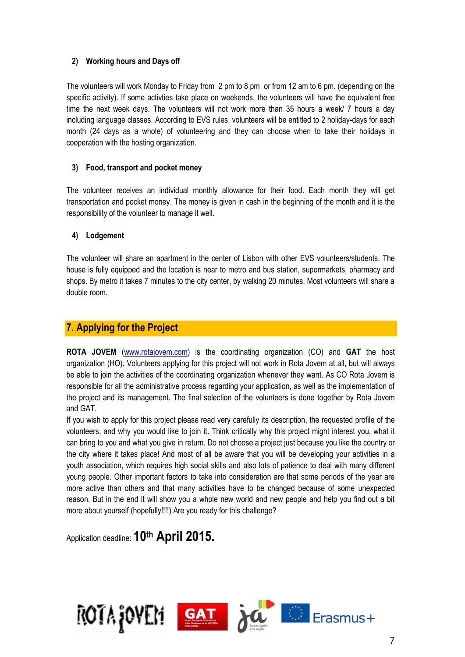## **2) Working hours and Days off**

The volunteers will work Monday to Friday from 2 pm to 8 pm or from 12 am to 6 pm. (depending on the specific activity). If some activties take place on weekends, the volunteers will have the equivalent free time the next week days. The volunteers will not work more than 35 hours a week/ 7 hours a day including language classes. According to EVS rules, volunteers will be entitled to 2 holiday-days for each month (24 days as a whole) of volunteering and they can choose when to take their holidays in cooperation with the hosting organization.

## **3) Food, transport and pocket money**

The volunteer receives an individual monthly allowance for their food. Each month they will get transportation and pocket money. The money is given in cash in the beginning of the month and it is the responsibility of the volunteer to manage it well.

## **4) Lodgement**

The volunteer will share an apartment in the center of Lisbon with other EVS volunteers/students. The house is fully equipped and the location is near to metro and bus station, supermarkets, pharmacy and shops. By metro it takes 7 minutes to the city center, by walking 20 minutes. Most volunteers will share a double room.

## **7. Applying for the Project**

**ROTA JOVEM** [\(www.rotajovem.com\)](http://www.rotajovem.com/) is the coordinating organization (CO) and **GAT** the host organization (HO). Volunteers applying for this project will not work in Rota Jovem at all, but will always be able to join the activities of the coordinating organization whenever they want. As CO Rota Jovem is responsible for all the administrative process regarding your application, as well as the implementation of the project and its management. The final selection of the volunteers is done together by Rota Jovem and GAT.

If you wish to apply for this project please read very carefully its description, the requested profile of the volunteers, and why you would like to join it. Think critically why this project might interest you, what it can bring to you and what you give in return. Do not choose a project just because you like the country or the city where it takes place! And most of all be aware that you will be developing your activities in a youth association, which requires high social skills and also lots of patience to deal with many different young people. Other important factors to take into consideration are that some periods of the year are more active than others and that many activities have to be changed because of some unexpected reason. But in the end it will show you a whole new world and new people and help you find out a bit more about yourself (hopefully!!!!) Are you ready for this challenge?

Application deadline: **10th April 2015.**